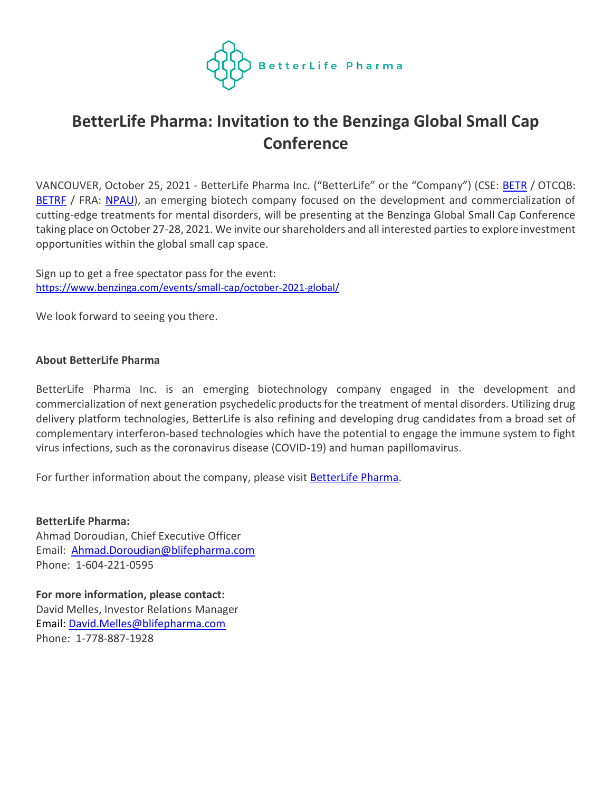

## **BetterLife Pharma: Invitation to the Benzinga Global Small Cap Conference**

VANCOUVER, October 25, 2021 - BetterLife Pharma Inc. ("BetterLife" or the "Company") (CSE: **[BETR](https://thecse.com/en/listings/life-sciences/betterlife-pharma-inc)** / OTCQB: [BETRF](https://www.otcmarkets.com/stock/BETRF/profile) / FRA: [NPAU\)](https://www.tradegate.de/orderbuch.php?lang=en&isin=CA08772P2026), an emerging biotech company focused on the development and commercialization of cutting-edge treatments for mental disorders, will be presenting at the Benzinga Global Small Cap Conference taking place on October 27-28, 2021. We invite our shareholders and all interested parties to explore investment opportunities within the global small cap space.

Sign up to get a free spectator pass for the event: <https://www.benzinga.com/events/small-cap/october-2021-global/>

We look forward to seeing you there.

## **About BetterLife Pharma**

BetterLife Pharma Inc. is an emerging biotechnology company engaged in the development and commercialization of next generation psychedelic products for the treatment of mental disorders. Utilizing drug delivery platform technologies, BetterLife is also refining and developing drug candidates from a broad set of complementary interferon-based technologies which have the potential to engage the immune system to fight virus infections, such as the coronavirus disease (COVID-19) and human papillomavirus.

For further information about the company, please visit **BetterLife Pharma**.

**BetterLife Pharma:** Ahmad Doroudian, Chief Executive Officer Email: [Ahmad.Doroudian@blifepharma.com](mailto:Ahmad.Doroudian@blifepharma.com) Phone: 1-604-221-0595

**For more information, please contact:** David Melles, Investor Relations Manager Email: [David.Melles@blifepharma.com](mailto:David.Melles@blifepharma.com) Phone: 1-778-887-1928